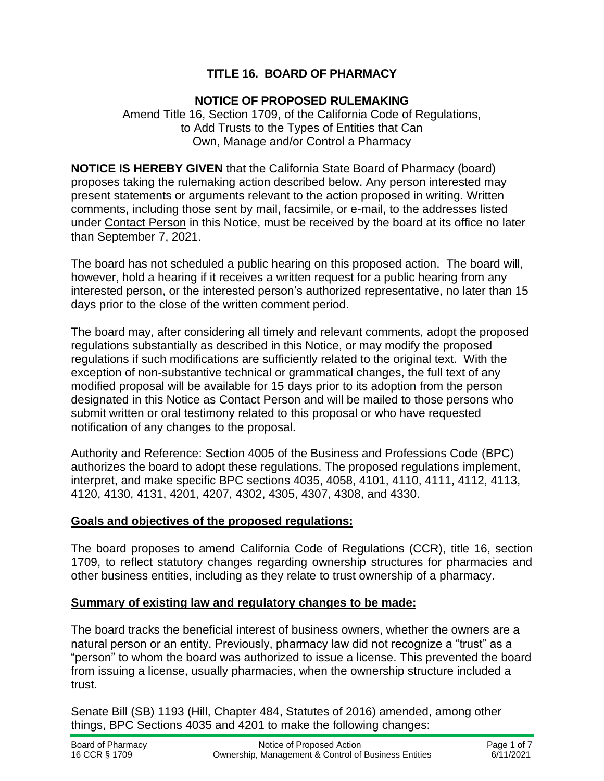# **TITLE 16. BOARD OF PHARMACY**

### **NOTICE OF PROPOSED RULEMAKING**

Amend Title 16, Section 1709, of the California Code of Regulations, to Add Trusts to the Types of Entities that Can Own, Manage and/or Control a Pharmacy

**NOTICE IS HEREBY GIVEN** that the California State Board of Pharmacy (board) proposes taking the rulemaking action described below. Any person interested may present statements or arguments relevant to the action proposed in writing. Written comments, including those sent by mail, facsimile, or e-mail, to the addresses listed under Contact Person in this Notice, must be received by the board at its office no later than September 7, 2021.

The board has not scheduled a public hearing on this proposed action. The board will, however, hold a hearing if it receives a written request for a public hearing from any interested person, or the interested person's authorized representative, no later than 15 days prior to the close of the written comment period.

The board may, after considering all timely and relevant comments, adopt the proposed regulations substantially as described in this Notice, or may modify the proposed regulations if such modifications are sufficiently related to the original text. With the exception of non-substantive technical or grammatical changes, the full text of any modified proposal will be available for 15 days prior to its adoption from the person designated in this Notice as Contact Person and will be mailed to those persons who submit written or oral testimony related to this proposal or who have requested notification of any changes to the proposal.

Authority and Reference: Section 4005 of the Business and Professions Code (BPC) authorizes the board to adopt these regulations. The proposed regulations implement, interpret, and make specific BPC sections 4035, 4058, 4101, 4110, 4111, 4112, 4113, 4120, 4130, 4131, 4201, 4207, 4302, 4305, 4307, 4308, and 4330.

### **Goals and objectives of the proposed regulations:**

The board proposes to amend California Code of Regulations (CCR), title 16, section 1709, to reflect statutory changes regarding ownership structures for pharmacies and other business entities, including as they relate to trust ownership of a pharmacy.

### **Summary of existing law and regulatory changes to be made:**

The board tracks the beneficial interest of business owners, whether the owners are a natural person or an entity. Previously, pharmacy law did not recognize a "trust" as a "person" to whom the board was authorized to issue a license. This prevented the board from issuing a license, usually pharmacies, when the ownership structure included a trust.

Senate Bill (SB) 1193 (Hill, Chapter 484, Statutes of 2016) amended, among other things, BPC Sections 4035 and 4201 to make the following changes: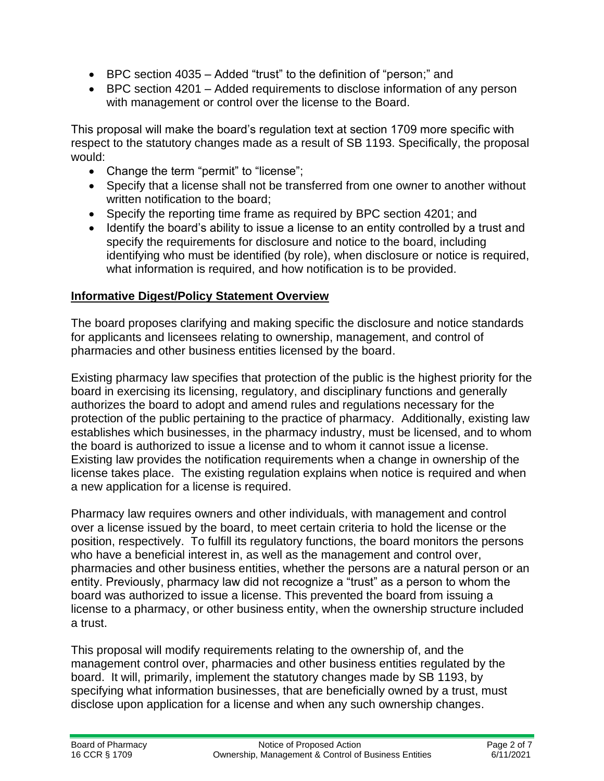- BPC section 4035 Added "trust" to the definition of "person;" and
- BPC section 4201 Added requirements to disclose information of any person with management or control over the license to the Board.

This proposal will make the board's regulation text at section 1709 more specific with respect to the statutory changes made as a result of SB 1193. Specifically, the proposal would:

- Change the term "permit" to "license";
- Specify that a license shall not be transferred from one owner to another without written notification to the board;
- Specify the reporting time frame as required by BPC section 4201; and
- Identify the board's ability to issue a license to an entity controlled by a trust and specify the requirements for disclosure and notice to the board, including identifying who must be identified (by role), when disclosure or notice is required, what information is required, and how notification is to be provided.

### **Informative Digest/Policy Statement Overview**

The board proposes clarifying and making specific the disclosure and notice standards for applicants and licensees relating to ownership, management, and control of pharmacies and other business entities licensed by the board.

Existing pharmacy law specifies that protection of the public is the highest priority for the board in exercising its licensing, regulatory, and disciplinary functions and generally authorizes the board to adopt and amend rules and regulations necessary for the protection of the public pertaining to the practice of pharmacy. Additionally, existing law establishes which businesses, in the pharmacy industry, must be licensed, and to whom the board is authorized to issue a license and to whom it cannot issue a license. Existing law provides the notification requirements when a change in ownership of the license takes place. The existing regulation explains when notice is required and when a new application for a license is required.

Pharmacy law requires owners and other individuals, with management and control over a license issued by the board, to meet certain criteria to hold the license or the position, respectively. To fulfill its regulatory functions, the board monitors the persons who have a beneficial interest in, as well as the management and control over, pharmacies and other business entities, whether the persons are a natural person or an entity. Previously, pharmacy law did not recognize a "trust" as a person to whom the board was authorized to issue a license. This prevented the board from issuing a license to a pharmacy, or other business entity, when the ownership structure included a trust.

This proposal will modify requirements relating to the ownership of, and the management control over, pharmacies and other business entities regulated by the board. It will, primarily, implement the statutory changes made by SB 1193, by specifying what information businesses, that are beneficially owned by a trust, must disclose upon application for a license and when any such ownership changes.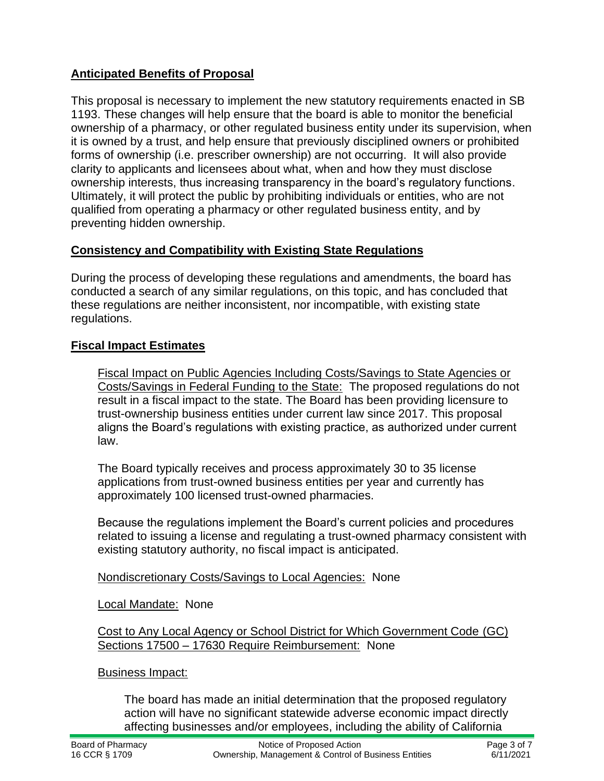# **Anticipated Benefits of Proposal**

This proposal is necessary to implement the new statutory requirements enacted in SB 1193. These changes will help ensure that the board is able to monitor the beneficial ownership of a pharmacy, or other regulated business entity under its supervision, when it is owned by a trust, and help ensure that previously disciplined owners or prohibited forms of ownership (i.e. prescriber ownership) are not occurring. It will also provide clarity to applicants and licensees about what, when and how they must disclose ownership interests, thus increasing transparency in the board's regulatory functions. Ultimately, it will protect the public by prohibiting individuals or entities, who are not qualified from operating a pharmacy or other regulated business entity, and by preventing hidden ownership.

# **Consistency and Compatibility with Existing State Regulations**

During the process of developing these regulations and amendments, the board has conducted a search of any similar regulations, on this topic, and has concluded that these regulations are neither inconsistent, nor incompatible, with existing state regulations.

# **Fiscal Impact Estimates**

Fiscal Impact on Public Agencies Including Costs/Savings to State Agencies or Costs/Savings in Federal Funding to the State: The proposed regulations do not result in a fiscal impact to the state. The Board has been providing licensure to trust-ownership business entities under current law since 2017. This proposal aligns the Board's regulations with existing practice, as authorized under current law.

The Board typically receives and process approximately 30 to 35 license applications from trust-owned business entities per year and currently has approximately 100 licensed trust-owned pharmacies.

Because the regulations implement the Board's current policies and procedures related to issuing a license and regulating a trust-owned pharmacy consistent with existing statutory authority, no fiscal impact is anticipated.

Nondiscretionary Costs/Savings to Local Agencies: None

### Local Mandate: None

Cost to Any Local Agency or School District for Which Government Code (GC) Sections 17500 – 17630 Require Reimbursement: None

### Business Impact:

The board has made an initial determination that the proposed regulatory action will have no significant statewide adverse economic impact directly affecting businesses and/or employees, including the ability of California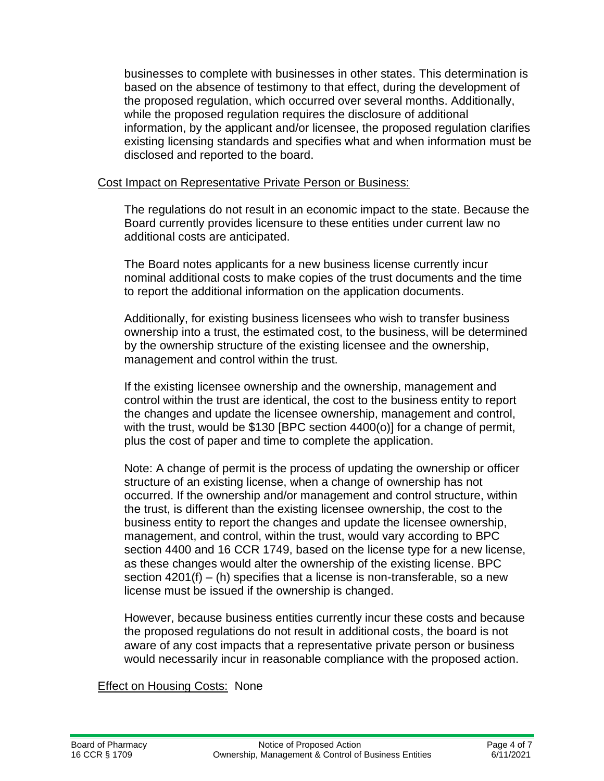businesses to complete with businesses in other states. This determination is based on the absence of testimony to that effect, during the development of the proposed regulation, which occurred over several months. Additionally, while the proposed regulation requires the disclosure of additional information, by the applicant and/or licensee, the proposed regulation clarifies existing licensing standards and specifies what and when information must be disclosed and reported to the board.

#### Cost Impact on Representative Private Person or Business:

The regulations do not result in an economic impact to the state. Because the Board currently provides licensure to these entities under current law no additional costs are anticipated.

The Board notes applicants for a new business license currently incur nominal additional costs to make copies of the trust documents and the time to report the additional information on the application documents.

Additionally, for existing business licensees who wish to transfer business ownership into a trust, the estimated cost, to the business, will be determined by the ownership structure of the existing licensee and the ownership, management and control within the trust.

If the existing licensee ownership and the ownership, management and control within the trust are identical, the cost to the business entity to report the changes and update the licensee ownership, management and control, with the trust, would be \$130 [BPC section 4400(o)] for a change of permit, plus the cost of paper and time to complete the application.

Note: A change of permit is the process of updating the ownership or officer structure of an existing license, when a change of ownership has not occurred. If the ownership and/or management and control structure, within the trust, is different than the existing licensee ownership, the cost to the business entity to report the changes and update the licensee ownership, management, and control, within the trust, would vary according to BPC section 4400 and 16 CCR 1749, based on the license type for a new license, as these changes would alter the ownership of the existing license. BPC section  $4201(f) - (h)$  specifies that a license is non-transferable, so a new license must be issued if the ownership is changed.

However, because business entities currently incur these costs and because the proposed regulations do not result in additional costs, the board is not aware of any cost impacts that a representative private person or business would necessarily incur in reasonable compliance with the proposed action.

Effect on Housing Costs: None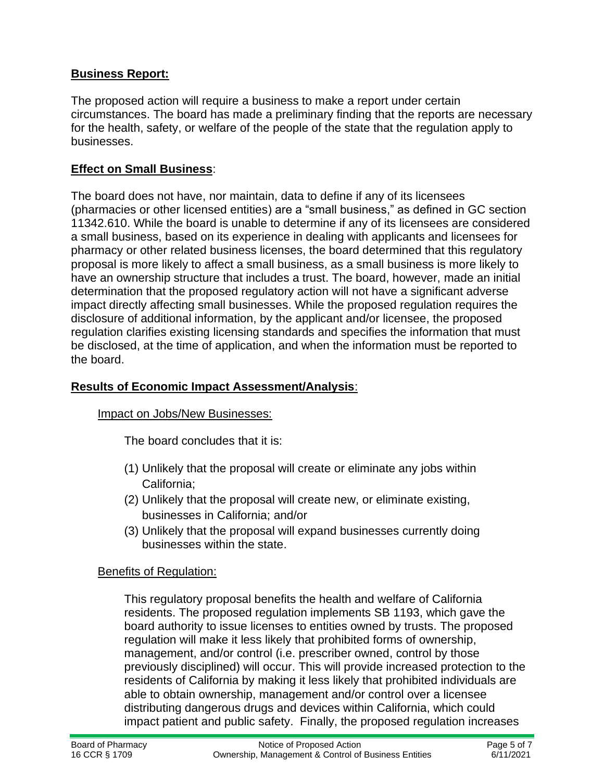# **Business Report:**

The proposed action will require a business to make a report under certain circumstances. The board has made a preliminary finding that the reports are necessary for the health, safety, or welfare of the people of the state that the regulation apply to businesses.

### **Effect on Small Business**:

The board does not have, nor maintain, data to define if any of its licensees (pharmacies or other licensed entities) are a "small business," as defined in GC section 11342.610. While the board is unable to determine if any of its licensees are considered a small business, based on its experience in dealing with applicants and licensees for pharmacy or other related business licenses, the board determined that this regulatory proposal is more likely to affect a small business, as a small business is more likely to have an ownership structure that includes a trust. The board, however, made an initial determination that the proposed regulatory action will not have a significant adverse impact directly affecting small businesses. While the proposed regulation requires the disclosure of additional information, by the applicant and/or licensee, the proposed regulation clarifies existing licensing standards and specifies the information that must be disclosed, at the time of application, and when the information must be reported to the board.

### **Results of Economic Impact Assessment/Analysis**:

### Impact on Jobs/New Businesses:

The board concludes that it is:

- (1) Unlikely that the proposal will create or eliminate any jobs within California;
- (2) Unlikely that the proposal will create new, or eliminate existing, businesses in California; and/or
- (3) Unlikely that the proposal will expand businesses currently doing businesses within the state.

### Benefits of Regulation:

This regulatory proposal benefits the health and welfare of California residents. The proposed regulation implements SB 1193, which gave the board authority to issue licenses to entities owned by trusts. The proposed regulation will make it less likely that prohibited forms of ownership, management, and/or control (i.e. prescriber owned, control by those previously disciplined) will occur. This will provide increased protection to the residents of California by making it less likely that prohibited individuals are able to obtain ownership, management and/or control over a licensee distributing dangerous drugs and devices within California, which could impact patient and public safety. Finally, the proposed regulation increases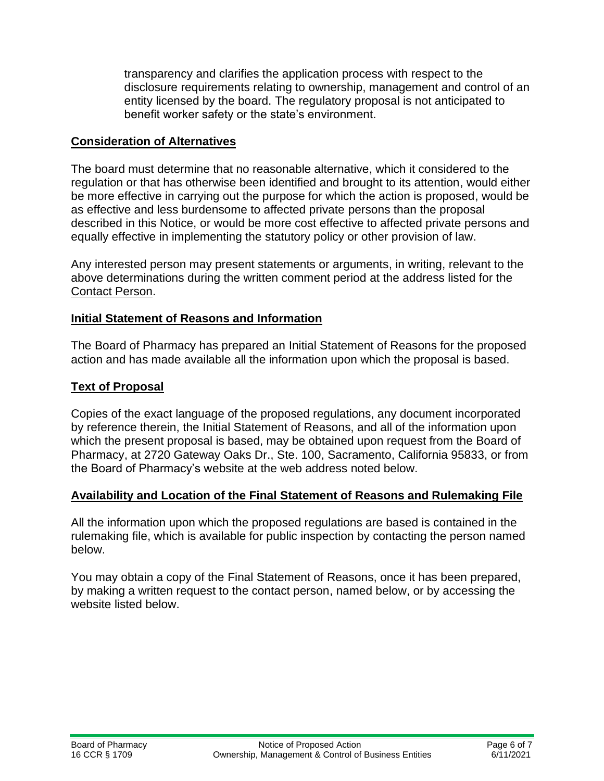transparency and clarifies the application process with respect to the disclosure requirements relating to ownership, management and control of an entity licensed by the board. The regulatory proposal is not anticipated to benefit worker safety or the state's environment.

#### **Consideration of Alternatives**

The board must determine that no reasonable alternative, which it considered to the regulation or that has otherwise been identified and brought to its attention, would either be more effective in carrying out the purpose for which the action is proposed, would be as effective and less burdensome to affected private persons than the proposal described in this Notice, or would be more cost effective to affected private persons and equally effective in implementing the statutory policy or other provision of law.

Any interested person may present statements or arguments, in writing, relevant to the above determinations during the written comment period at the address listed for the Contact Person.

#### **Initial Statement of Reasons and Information**

The Board of Pharmacy has prepared an Initial Statement of Reasons for the proposed action and has made available all the information upon which the proposal is based.

### **Text of Proposal**

Copies of the exact language of the proposed regulations, any document incorporated by reference therein, the Initial Statement of Reasons, and all of the information upon which the present proposal is based, may be obtained upon request from the Board of Pharmacy, at 2720 Gateway Oaks Dr., Ste. 100, Sacramento, California 95833, or from the Board of Pharmacy's website at the web address noted below.

### **Availability and Location of the Final Statement of Reasons and Rulemaking File**

All the information upon which the proposed regulations are based is contained in the rulemaking file, which is available for public inspection by contacting the person named below.

You may obtain a copy of the Final Statement of Reasons, once it has been prepared, by making a written request to the contact person, named below, or by accessing the website listed below.